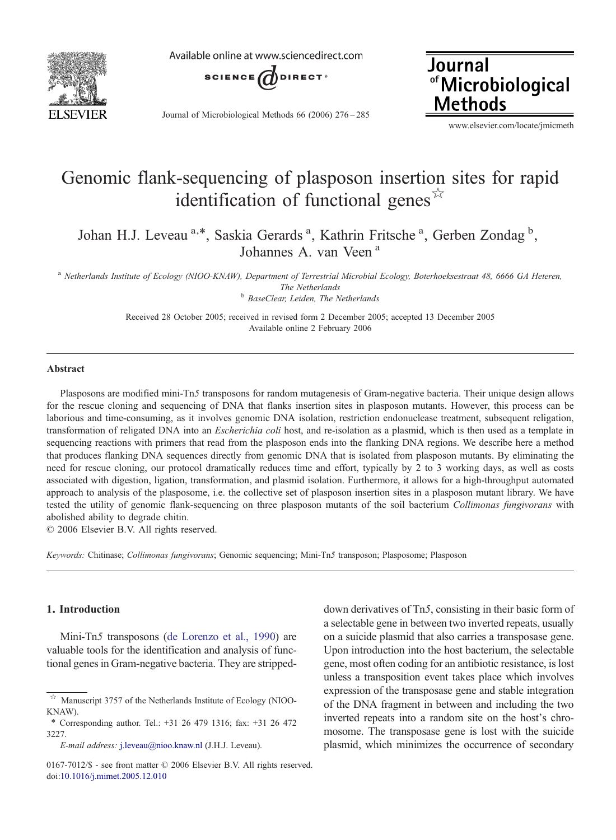

Available online at www.sciencedirect.com



Journal of Microbiological Methods 66 (2006) 276–285

Journal of Microbiological **Methods** 

www.elsevier.com/locate/jmicmeth

# Genomic flank-sequencing of plasposon insertion sites for rapid identification of functional genes $\mathbb{X}$

Johan H.J. Leveau<sup>a,\*</sup>, Saskia Gerards<sup>a</sup>, Kathrin Fritsche<sup>a</sup>, Gerben Zondag<sup>b</sup>, Johannes A. van Veen <sup>a</sup>

<sup>a</sup> Netherlands Institute of Ecology (NIOO-KNAW), Department of Terrestrial Microbial Ecology, Boterhoeksestraat 48, 6666 GA Heteren, The Netherlands<br><sup>b</sup> BaseClear, Leiden, The Netherlands

> Received 28 October 2005; received in revised form 2 December 2005; accepted 13 December 2005 Available online 2 February 2006

#### Abstract

Plasposons are modified mini-Tn5 transposons for random mutagenesis of Gram-negative bacteria. Their unique design allows for the rescue cloning and sequencing of DNA that flanks insertion sites in plasposon mutants. However, this process can be laborious and time-consuming, as it involves genomic DNA isolation, restriction endonuclease treatment, subsequent religation, transformation of religated DNA into an Escherichia coli host, and re-isolation as a plasmid, which is then used as a template in sequencing reactions with primers that read from the plasposon ends into the flanking DNA regions. We describe here a method that produces flanking DNA sequences directly from genomic DNA that is isolated from plasposon mutants. By eliminating the need for rescue cloning, our protocol dramatically reduces time and effort, typically by 2 to 3 working days, as well as costs associated with digestion, ligation, transformation, and plasmid isolation. Furthermore, it allows for a high-throughput automated approach to analysis of the plasposome, i.e. the collective set of plasposon insertion sites in a plasposon mutant library. We have tested the utility of genomic flank-sequencing on three plasposon mutants of the soil bacterium Collimonas fungivorans with abolished ability to degrade chitin.

© 2006 Elsevier B.V. All rights reserved.

Keywords: Chitinase; Collimonas fungivorans; Genomic sequencing; Mini-Tn5 transposon; Plasposome; Plasposon

# 1. Introduction

Mini-Tn5 transposons ([de Lorenzo et al., 1990](#page-8-0)) are valuable tools for the identification and analysis of functional genes in Gram-negative bacteria. They are stripped-

down derivatives of Tn5, consisting in their basic form of a selectable gene in between two inverted repeats, usually on a suicide plasmid that also carries a transposase gene. Upon introduction into the host bacterium, the selectable gene, most often coding for an antibiotic resistance, is lost unless a transposition event takes place which involves expression of the transposase gene and stable integration of the DNA fragment in between and including the two inverted repeats into a random site on the host's chromosome. The transposase gene is lost with the suicide plasmid, which minimizes the occurrence of secondary

Manuscript 3757 of the Netherlands Institute of Ecology (NIOO-KNAW).

<sup>⁎</sup> Corresponding author. Tel.: +31 26 479 1316; fax: +31 26 472 3227.

E-mail address: [j.leveau@nioo.knaw.nl](mailto:j.leveau@nioo.knaw.nl) (J.H.J. Leveau).

<sup>0167-7012/\$ -</sup> see front matter © 2006 Elsevier B.V. All rights reserved. doi[:10.1016/j.mimet.2005.12.010](http://dx.doi.org/10.1016/j.mimet.2005.12.010)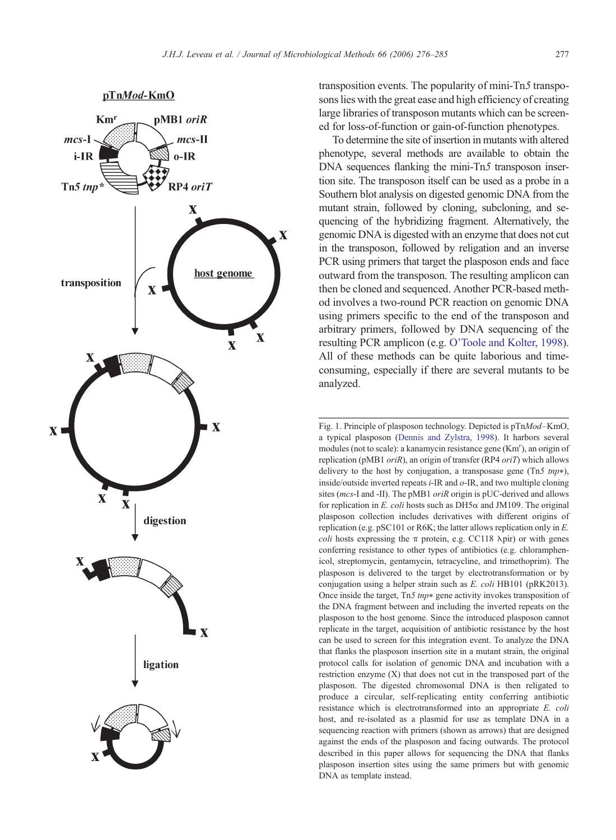<span id="page-1-0"></span>

transposition events. The popularity of mini-Tn5 transposons lies with the great ease and high efficiency of creating large libraries of transposon mutants which can be screened for loss-of-function or gain-of-function phenotypes.

To determine the site of insertion in mutants with altered phenotype, several methods are available to obtain the DNA sequences flanking the mini-Tn5 transposon insertion site. The transposon itself can be used as a probe in a Southern blot analysis on digested genomic DNA from the mutant strain, followed by cloning, subcloning, and sequencing of the hybridizing fragment. Alternatively, the genomic DNA is digested with an enzyme that does not cut in the transposon, followed by religation and an inverse PCR using primers that target the plasposon ends and face outward from the transposon. The resulting amplicon can then be cloned and sequenced. Another PCR-based method involves a two-round PCR reaction on genomic DNA using primers specific to the end of the transposon and arbitrary primers, followed by DNA sequencing of the resulting PCR amplicon (e.g. [O'Toole and Kolter, 1998](#page-9-0)). All of these methods can be quite laborious and timeconsuming, especially if there are several mutants to be analyzed.

Fig. 1. Principle of plasposon technology. Depicted is pTnMod–KmO, a typical plasposon [\(Dennis and Zylstra, 1998\)](#page-8-0). It harbors several modules (not to scale): a kanamycin resistance gene (Km'), an origin of replication (pMB1 *oriR*), an origin of transfer (RP4 *oriT*) which allows delivery to the host by conjugation, a transposase gene (Tn5  $tmp*$ ), inside/outside inverted repeats  $i$ -IR and  $o$ -IR, and two multiple cloning sites (mcs-I and -II). The pMB1 oriR origin is pUC-derived and allows for replication in E. coli hosts such as  $DH5\alpha$  and JM109. The original plasposon collection includes derivatives with different origins of replication (e.g. pSC101 or R6K; the latter allows replication only in E. *coli* hosts expressing the  $\pi$  protein, e.g. CC118  $\lambda$ pir) or with genes conferring resistance to other types of antibiotics (e.g. chloramphenicol, streptomycin, gentamycin, tetracycline, and trimethoprim). The plasposon is delivered to the target by electrotransformation or by conjugation using a helper strain such as E. coli HB101 (pRK2013). Once inside the target,  $Tn5$  tnp\* gene activity invokes transposition of the DNA fragment between and including the inverted repeats on the plasposon to the host genome. Since the introduced plasposon cannot replicate in the target, acquisition of antibiotic resistance by the host can be used to screen for this integration event. To analyze the DNA that flanks the plasposon insertion site in a mutant strain, the original protocol calls for isolation of genomic DNA and incubation with a restriction enzyme (X) that does not cut in the transposed part of the plasposon. The digested chromosomal DNA is then religated to produce a circular, self-replicating entity conferring antibiotic resistance which is electrotransformed into an appropriate E. coli host, and re-isolated as a plasmid for use as template DNA in a sequencing reaction with primers (shown as arrows) that are designed against the ends of the plasposon and facing outwards. The protocol described in this paper allows for sequencing the DNA that flanks plasposon insertion sites using the same primers but with genomic DNA as template instead.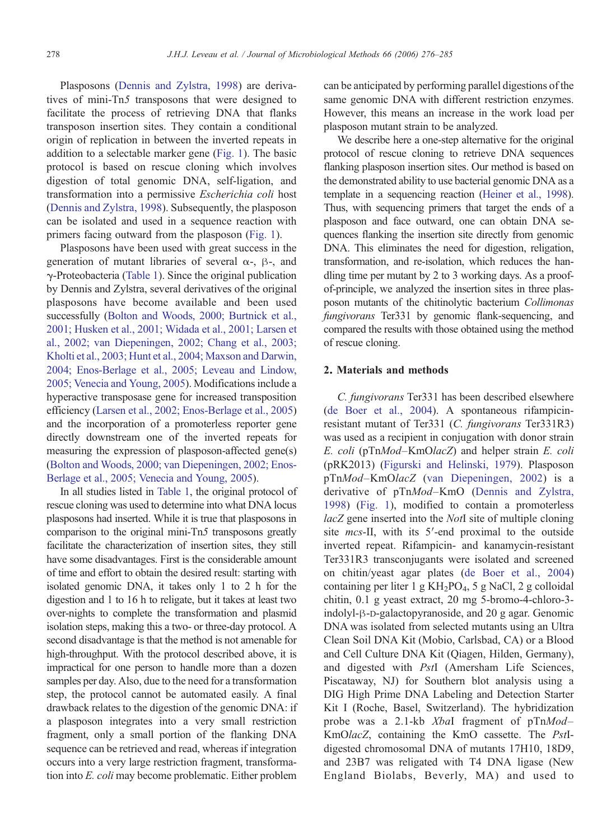Plasposons ([Dennis and Zylstra, 1998\)](#page-8-0) are derivatives of mini-Tn5 transposons that were designed to facilitate the process of retrieving DNA that flanks transposon insertion sites. They contain a conditional origin of replication in between the inverted repeats in addition to a selectable marker gene ([Fig. 1](#page-1-0)). The basic protocol is based on rescue cloning which involves digestion of total genomic DNA, self-ligation, and transformation into a permissive Escherichia coli host [\(Dennis and Zylstra, 1998](#page-8-0)). Subsequently, the plasposon can be isolated and used in a sequence reaction with primers facing outward from the plasposon [\(Fig. 1](#page-1-0)).

Plasposons have been used with great success in the generation of mutant libraries of several α-, β-, and γ-Proteobacteria [\(Table 1](#page-3-0)). Since the original publication by Dennis and Zylstra, several derivatives of the original plasposons have become available and been used successfully [\(Bolton and Woods, 2000; Burtnick et al.,](#page-8-0) [2001; Husken et al., 2001; Widada et al., 2001; Larsen et](#page-8-0) [al., 2002; van Diepeningen, 2002; Chang et al., 2003;](#page-8-0) [Kholti et al., 2003; Hunt et al., 2004; Maxson and Darwin,](#page-8-0) [2004; Enos-Berlage et al., 2005; Leveau and Lindow,](#page-8-0) [2005; Venecia and Young, 2005\)](#page-8-0). Modifications include a hyperactive transposase gene for increased transposition efficiency ([Larsen et al., 2002; Enos-Berlage et al., 2005](#page-9-0)) and the incorporation of a promoterless reporter gene directly downstream one of the inverted repeats for measuring the expression of plasposon-affected gene(s) [\(Bolton and Woods, 2000; van Diepeningen, 2002; Enos-](#page-8-0)[Berlage et al., 2005; Venecia and Young, 2005](#page-8-0)).

In all studies listed in [Table 1,](#page-3-0) the original protocol of rescue cloning was used to determine into what DNA locus plasposons had inserted. While it is true that plasposons in comparison to the original mini-Tn5 transposons greatly facilitate the characterization of insertion sites, they still have some disadvantages. First is the considerable amount of time and effort to obtain the desired result: starting with isolated genomic DNA, it takes only 1 to 2 h for the digestion and 1 to 16 h to religate, but it takes at least two over-nights to complete the transformation and plasmid isolation steps, making this a two- or three-day protocol. A second disadvantage is that the method is not amenable for high-throughput. With the protocol described above, it is impractical for one person to handle more than a dozen samples per day. Also, due to the need for a transformation step, the protocol cannot be automated easily. A final drawback relates to the digestion of the genomic DNA: if a plasposon integrates into a very small restriction fragment, only a small portion of the flanking DNA sequence can be retrieved and read, whereas if integration occurs into a very large restriction fragment, transformation into E. coli may become problematic. Either problem

can be anticipated by performing parallel digestions of the same genomic DNA with different restriction enzymes. However, this means an increase in the work load per plasposon mutant strain to be analyzed.

We describe here a one-step alternative for the original protocol of rescue cloning to retrieve DNA sequences flanking plasposon insertion sites. Our method is based on the demonstrated ability to use bacterial genomic DNA as a template in a sequencing reaction ([Heiner et al., 1998\)](#page-8-0). Thus, with sequencing primers that target the ends of a plasposon and face outward, one can obtain DNA sequences flanking the insertion site directly from genomic DNA. This eliminates the need for digestion, religation, transformation, and re-isolation, which reduces the handling time per mutant by 2 to 3 working days. As a proofof-principle, we analyzed the insertion sites in three plasposon mutants of the chitinolytic bacterium Collimonas fungivorans Ter331 by genomic flank-sequencing, and compared the results with those obtained using the method of rescue cloning.

### 2. Materials and methods

C. fungivorans Ter331 has been described elsewhere [\(de Boer et al., 2004](#page-8-0)). A spontaneous rifampicinresistant mutant of Ter331 (C. fungivorans Ter331R3) was used as a recipient in conjugation with donor strain E. coli (pTnMod–KmOlacZ) and helper strain E. coli (pRK2013) [\(Figurski and Helinski, 1979\)](#page-8-0). Plasposon pTnMod–KmOlacZ [\(van Diepeningen, 2002](#page-9-0)) is a derivative of pTnMod-KmO [\(Dennis and Zylstra,](#page-8-0) [1998](#page-8-0)) [\(Fig. 1\)](#page-1-0), modified to contain a promoterless lacZ gene inserted into the NotI site of multiple cloning site *mcs*-II, with its 5'-end proximal to the outside inverted repeat. Rifampicin- and kanamycin-resistant Ter331R3 transconjugants were isolated and screened on chitin/yeast agar plates ([de Boer et al., 2004](#page-8-0)) containing per liter 1 g  $KH_2PO_4$ , 5 g NaCl, 2 g colloidal chitin, 0.1 g yeast extract, 20 mg 5-bromo-4-chloro-3 indolyl-β-D-galactopyranoside, and 20 g agar. Genomic DNA was isolated from selected mutants using an Ultra Clean Soil DNA Kit (Mobio, Carlsbad, CA) or a Blood and Cell Culture DNA Kit (Qiagen, Hilden, Germany), and digested with PstI (Amersham Life Sciences, Piscataway, NJ) for Southern blot analysis using a DIG High Prime DNA Labeling and Detection Starter Kit I (Roche, Basel, Switzerland). The hybridization probe was a 2.1-kb XbaI fragment of pTnMod-KmOlacZ, containing the KmO cassette. The PstIdigested chromosomal DNA of mutants 17H10, 18D9, and 23B7 was religated with T4 DNA ligase (New England Biolabs, Beverly, MA) and used to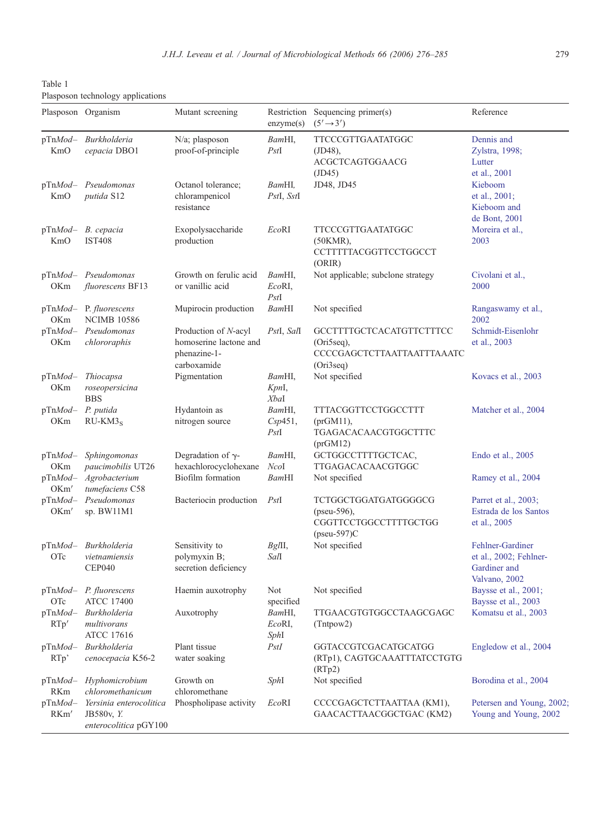<span id="page-3-0"></span>Table 1 Plasposon technology applications

|                         | Plasposon Organism                                                    | Mutant screening                                                              | Restriction<br>enzyme(s)  | Sequencing primer(s)<br>$(5' \rightarrow 3')$                                        | Reference                                                                   |
|-------------------------|-----------------------------------------------------------------------|-------------------------------------------------------------------------------|---------------------------|--------------------------------------------------------------------------------------|-----------------------------------------------------------------------------|
| KmO                     | pTnMod- Burkholderia<br>cepacia DBO1                                  | N/a; plasposon<br>proof-of-principle                                          | BamHI,<br>PstI            | TTCCCGTTGAATATGGC<br>$(JD48)$ ,<br>ACGCTCAGTGGAACG<br>(JD45)                         | Dennis and<br>Zylstra, 1998;<br>Lutter<br>et al., 2001                      |
| $pTnMod-$<br>KmO        | Pseudomonas<br>putida S12                                             | Octanol tolerance;<br>chlorampenicol<br>resistance                            | BamHI,<br>PstI, SstI      | JD48, JD45                                                                           | Kieboom<br>et al., 2001;<br>Kieboom and<br>de Bont, 2001                    |
| $pTnMod-$<br>KmO        | B. cepacia<br><b>IST408</b>                                           | Exopolysaccharide<br>production                                               | EcoRI                     | TTCCCGTTGAATATGGC<br>(50KMR),<br>CCTTTTTACGGTTCCTGGCCT<br>(ORIR)                     | Moreira et al.,<br>2003                                                     |
| $pTnMod-$<br>OKm        | Pseudomonas<br>fluorescens BF13                                       | Growth on ferulic acid<br>or vanillic acid                                    | BamHI,<br>EcoRI,<br>PstI  | Not applicable; subclone strategy                                                    | Civolani et al.,<br>2000                                                    |
| $pTnMod-$<br>OKm        | P. fluorescens<br><b>NCIMB 10586</b>                                  | Mupirocin production                                                          | BamHI                     | Not specified                                                                        | Rangaswamy et al.,<br>2002                                                  |
| $pTnMod-$<br><b>OKm</b> | Pseudomonas<br>chlororaphis                                           | Production of N-acyl<br>homoserine lactone and<br>phenazine-1-<br>carboxamide | PstI, SalI                | GCCTTTTGCTCACATGTTCTTTCC<br>$(Ori5seq)$ ,<br>CCCCGAGCTCTTAATTAATTTAAATC<br>(Ori3seq) | Schmidt-Eisenlohr<br>et al., 2003                                           |
| $pTnMod-$<br>OKm        | Thiocapsa<br>roseopersicina<br><b>BBS</b>                             | Pigmentation                                                                  | BamHI,<br>KpnI,<br>XbaI   | Not specified                                                                        | Kovacs et al., 2003                                                         |
| $pTnMod-$<br>OKm        | P. putida<br>$RU-KM3S$                                                | Hydantoin as<br>nitrogen source                                               | BamHI,<br>Csp451,<br>PstI | TTTACGGTTCCTGGCCTTT<br>(prGM11),<br>TGAGACACAACGTGGCTTTC<br>(prGM12)                 | Matcher et al., 2004                                                        |
| $pTnMod-$<br>OKm        | Sphingomonas<br>paucimobilis UT26                                     | Degradation of $\gamma$ -<br>hexachlorocyclohexane                            | BamHI,<br>NcoI            | GCTGGCCTTTTGCTCAC,<br>TTGAGACACAACGTGGC                                              | Endo et al., 2005                                                           |
| $pTnMod-$<br>OKm'       | Agrobacterium<br>tumefaciens C58                                      | Biofilm formation                                                             | BamHI                     | Not specified                                                                        | Ramey et al., 2004                                                          |
| $pTnMod-$<br>OKm'       | Pseudomonas<br>sp. BW11M1                                             | Bacteriocin production                                                        | PstI                      | TCTGGCTGGATGATGGGGCG<br>(pseu-596),<br>CGGTTCCTGGCCTTTTGCTGG<br>$(pseu-597)C$        | Parret et al., 2003;<br>Estrada de los Santos<br>et al., 2005               |
| $pTnMod-$<br>OTc        | Burkholderia<br>vietnamiensis<br><b>CEP040</b>                        | Sensitivity to<br>polymyxin B;<br>secretion deficiency                        | Bg/II,<br>Sall            | Not specified                                                                        | Fehlner-Gardiner<br>et al., 2002; Fehlner-<br>Gardiner and<br>Valvano, 2002 |
| $pTnMod-$<br>OTc        | P. fluorescens<br><b>ATCC 17400</b>                                   | Haemin auxotrophy                                                             | Not<br>specified          | Not specified                                                                        | Baysse et al., 2001;<br>Baysse et al., 2003                                 |
| $pTnMod-$<br>RTp'       | <i>Burkholderia</i><br>multivorans<br><b>ATCC 17616</b>               | Auxotrophy                                                                    | BamHI,<br>EcoRI,<br>SphI  | TTGAACGTGTGGCCTAAGCGAGC<br>(Tntpow2)                                                 | Komatsu et al., 2003                                                        |
| $pTnMod-$<br>RTp        | Burkholderia<br>cenocepacia K56-2                                     | Plant tissue<br>water soaking                                                 | PstI                      | GGTACCGTCGACATGCATGG<br>(RTp1), CAGTGCAAATTTATCCTGTG<br>(RTp2)                       | Engledow et al., 2004                                                       |
| $pTnMod-$<br>RKm        | Hyphomicrobium<br>chloromethanicum                                    | Growth on<br>chloromethane                                                    | SphI                      | Not specified                                                                        | Borodina et al., 2004                                                       |
| pTnMod-<br>RKm'         | Yersinia enterocolitica<br><b>JB580v, Y.</b><br>enterocolitica pGY100 | Phospholipase activity                                                        | EcoRI                     | CCCCGAGCTCTTAATTAA (KM1),<br>GAACACTTAACGGCTGAC (KM2)                                | Petersen and Young, 2002;<br>Young and Young, 2002                          |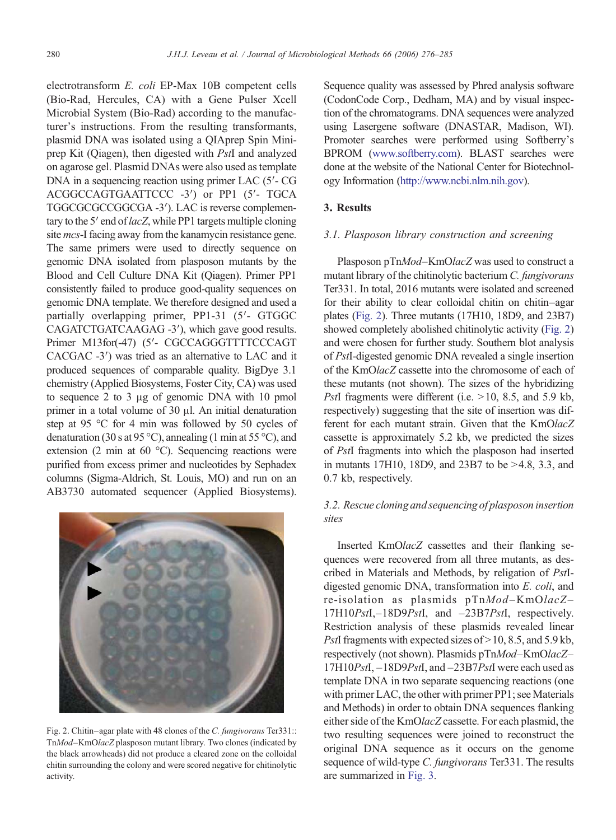electrotransform E. coli EP-Max 10B competent cells (Bio-Rad, Hercules, CA) with a Gene Pulser Xcell Microbial System (Bio-Rad) according to the manufacturer's instructions. From the resulting transformants, plasmid DNA was isolated using a QIAprep Spin Miniprep Kit (Qiagen), then digested with PstI and analyzed on agarose gel. Plasmid DNAs were also used as template DNA in a sequencing reaction using primer LAC (5′- CG ACGGCCAGTGAATTCCC -3′) or PP1 (5′- TGCA TGGCGCGCCGGCGA -3′). LAC is reverse complementary to the 5' end of  $lacZ$ , while PP1 targets multiple cloning site mcs-I facing away from the kanamycin resistance gene. The same primers were used to directly sequence on genomic DNA isolated from plasposon mutants by the Blood and Cell Culture DNA Kit (Qiagen). Primer PP1 consistently failed to produce good-quality sequences on genomic DNA template. We therefore designed and used a partially overlapping primer, PP1-31 (5′- GTGGC CAGATCTGATCAAGAG -3′), which gave good results. Primer M13for(-47) (5'- CGCCAGGGTTTTCCCAGT CACGAC -3′) was tried as an alternative to LAC and it produced sequences of comparable quality. BigDye 3.1 chemistry (Applied Biosystems, Foster City, CA) was used to sequence 2 to 3 μg of genomic DNA with 10 pmol primer in a total volume of 30 μl. An initial denaturation step at 95 °C for 4 min was followed by 50 cycles of denaturation (30 s at 95 °C), annealing (1 min at 55 °C), and extension (2 min at 60 °C). Sequencing reactions were purified from excess primer and nucleotides by Sephadex columns (Sigma-Aldrich, St. Louis, MO) and run on an AB3730 automated sequencer (Applied Biosystems).



Fig. 2. Chitin–agar plate with 48 clones of the C. fungivorans Ter331:: TnMod–KmOlacZ plasposon mutant library. Two clones (indicated by the black arrowheads) did not produce a cleared zone on the colloidal chitin surrounding the colony and were scored negative for chitinolytic activity.

Sequence quality was assessed by Phred analysis software (CodonCode Corp., Dedham, MA) and by visual inspection of the chromatograms. DNA sequences were analyzed using Lasergene software (DNASTAR, Madison, WI). Promoter searches were performed using Softberry's BPROM [\(www.softberry.com\)](http:www.softberry.com). BLAST searches were done at the website of the National Center for Biotechnology Information [\(http://www.ncbi.nlm.nih.gov](http://www.ncbi.nlm.nih.gov)).

## 3. Results

#### 3.1. Plasposon library construction and screening

Plasposon pTnMod–KmOlacZ was used to construct a mutant library of the chitinolytic bacterium C. fungivorans Ter331. In total, 2016 mutants were isolated and screened for their ability to clear colloidal chitin on chitin–agar plates (Fig. 2). Three mutants (17H10, 18D9, and 23B7) showed completely abolished chitinolytic activity (Fig. 2) and were chosen for further study. Southern blot analysis of PstI-digested genomic DNA revealed a single insertion of the KmOlacZ cassette into the chromosome of each of these mutants (not shown). The sizes of the hybridizing PstI fragments were different (i.e.  $>10$ , 8.5, and 5.9 kb, respectively) suggesting that the site of insertion was different for each mutant strain. Given that the KmOlacZ cassette is approximately 5.2 kb, we predicted the sizes of PstI fragments into which the plasposon had inserted in mutants 17H10, 18D9, and 23B7 to be  $>4.8$ , 3.3, and 0.7 kb, respectively.

# 3.2. Rescue cloning and sequencing of plasposon insertion sites

Inserted KmOlacZ cassettes and their flanking sequences were recovered from all three mutants, as described in Materials and Methods, by religation of PstIdigested genomic DNA, transformation into E. coli, and re-isolation as plasmids pTnMod–KmOlacZ– 17H10PstI,-18D9PstI, and -23B7PstI, respectively. Restriction analysis of these plasmids revealed linear PstI fragments with expected sizes of  $>$  10, 8.5, and 5.9 kb, respectively (not shown). Plasmids pTnMod–KmOlacZ– 17H10PstI, –18D9PstI, and –23B7PstI were each used as template DNA in two separate sequencing reactions (one with primer LAC, the other with primer PP1; see Materials and Methods) in order to obtain DNA sequences flanking either side of the KmOlacZ cassette. For each plasmid, the two resulting sequences were joined to reconstruct the original DNA sequence as it occurs on the genome sequence of wild-type C. fungivorans Ter331. The results are summarized in [Fig. 3.](#page-5-0)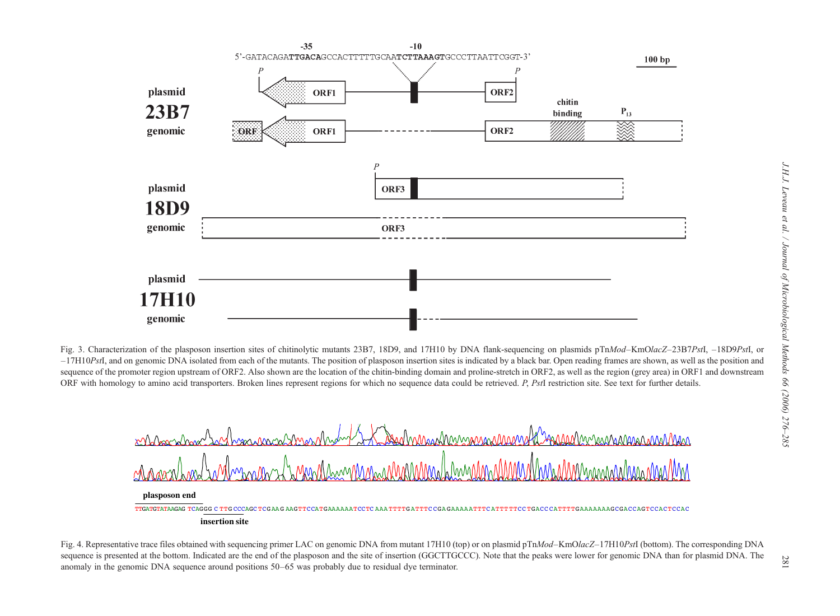<span id="page-5-0"></span>

Fig. 3. Characterization of the plasposon insertion sites of chitinolytic mutants 23B7, 18D9, and 17H10 by DNA flank-sequencing on plasmids pTnMod–KmOlacZ–23B7PstI, -18D9PstI, or  $-17H10PstI$ , and on genomic DNA isolated from each of the mutants. The position of plasposon insertion sites is indicated by a black bar. Open reading frames are shown, as well as the position and sequence of the promoter region upstream of ORF2. Also shown are the location of the chitin-binding domain and proline-stretch in ORF2, as well as the region (grey area) in ORF1 and downstream ORF with homology to amino acid transporters. Broken lines represent regions for which no sequence data could be retrieved. P, PstI restriction site. See text for further details.



Fig. 4. Representative trace files obtained with sequencing primer LAC on genomic DNA from mutant 17H10 (top) or on plasmid pTnMod–KmOlacZ–17H10PstI (bottom). The corresponding DNA sequence is presented at the bottom. Indicated are the end of the plasposon and the site of insertion (GGCTTGCCC). Note that the peaks were lower for genomic DNA than for plasmid DNA. The anomaly in the genomic DNA sequence around positions 50–65 was probably due to residual dye terminator.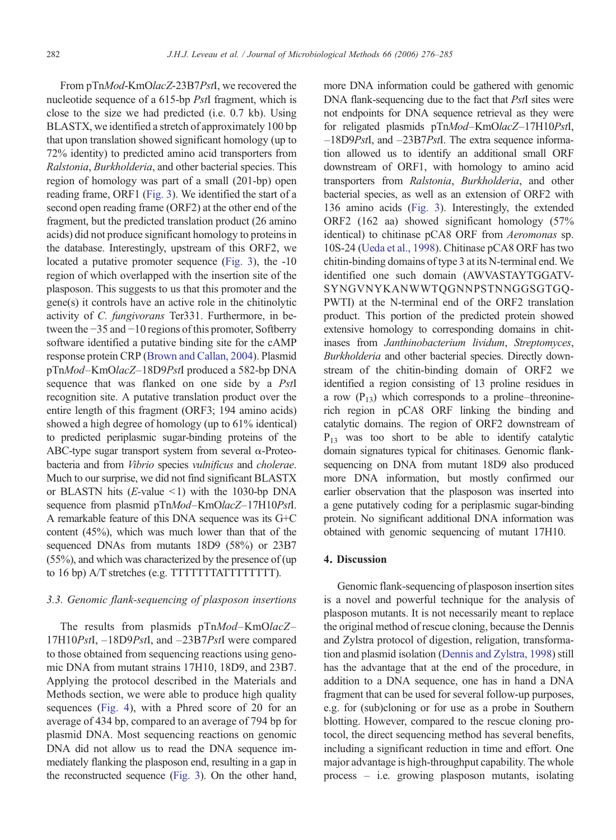From pTnMod-KmOlacZ-23B7PstI, we recovered the nucleotide sequence of a 615-bp PstI fragment, which is close to the size we had predicted (i.e. 0.7 kb). Using BLASTX, we identified a stretch of approximately 100 bp that upon translation showed significant homology (up to 72% identity) to predicted amino acid transporters from Ralstonia, Burkholderia, and other bacterial species. This region of homology was part of a small (201-bp) open reading frame, ORF1 [\(Fig. 3\)](#page-5-0). We identified the start of a second open reading frame (ORF2) at the other end of the fragment, but the predicted translation product (26 amino acids) did not produce significant homology to proteins in the database. Interestingly, upstream of this ORF2, we located a putative promoter sequence [\(Fig. 3\)](#page-5-0), the -10 region of which overlapped with the insertion site of the plasposon. This suggests to us that this promoter and the gene(s) it controls have an active role in the chitinolytic activity of C. fungivorans Ter331. Furthermore, in between the −35 and −10 regions of this promoter, Softberry software identified a putative binding site for the cAMP response protein CRP ([Brown and Callan, 2004\)](#page-8-0). Plasmid pTnMod–KmOlacZ–18D9PstI produced a 582-bp DNA sequence that was flanked on one side by a PstI recognition site. A putative translation product over the entire length of this fragment (ORF3; 194 amino acids) showed a high degree of homology (up to 61% identical) to predicted periplasmic sugar-binding proteins of the ABC-type sugar transport system from several α-Proteobacteria and from Vibrio species vulnificus and cholerae. Much to our surprise, we did not find significant BLASTX or BLASTN hits (*E*-value  $\le$ 1) with the 1030-bp DNA sequence from plasmid pTnMod–KmOlacZ–17H10PstI. A remarkable feature of this DNA sequence was its G+C content (45%), which was much lower than that of the sequenced DNAs from mutants 18D9 (58%) or 23B7 (55%), and which was characterized by the presence of (up to 16 bp) A/T stretches (e.g. TTTTTTTATTTTTTTT).

# 3.3. Genomic flank-sequencing of plasposon insertions

The results from plasmids pTnMod-KmOlacZ-17H10PstI, –18D9PstI, and –23B7PstI were compared to those obtained from sequencing reactions using genomic DNA from mutant strains 17H10, 18D9, and 23B7. Applying the protocol described in the Materials and Methods section, we were able to produce high quality sequences [\(Fig. 4\)](#page-5-0), with a Phred score of 20 for an average of 434 bp, compared to an average of 794 bp for plasmid DNA. Most sequencing reactions on genomic DNA did not allow us to read the DNA sequence immediately flanking the plasposon end, resulting in a gap in the reconstructed sequence [\(Fig. 3\)](#page-5-0). On the other hand,

more DNA information could be gathered with genomic DNA flank-sequencing due to the fact that *PstI* sites were not endpoints for DNA sequence retrieval as they were for religated plasmids pTnMod-KmOlacZ-17H10PstI, –18D9PstI, and –23B7PstI. The extra sequence information allowed us to identify an additional small ORF downstream of ORF1, with homology to amino acid transporters from Ralstonia, Burkholderia, and other bacterial species, as well as an extension of ORF2 with 136 amino acids ([Fig. 3](#page-5-0)). Interestingly, the extended ORF2 (162 aa) showed significant homology (57% identical) to chitinase pCA8 ORF from *Aeromonas* sp. 10S-24 ([Ueda et al., 1998\)](#page-9-0). Chitinase pCA8 ORF has two chitin-binding domains of type 3 at its N-terminal end. We identified one such domain (AWVASTAYTGGATV-SYNGVNYKANWWTQGNNPSTNNGGSGTGQ-PWTI) at the N-terminal end of the ORF2 translation product. This portion of the predicted protein showed extensive homology to corresponding domains in chitinases from Janthinobacterium lividum, Streptomyces, Burkholderia and other bacterial species. Directly downstream of the chitin-binding domain of ORF2 we identified a region consisting of 13 proline residues in a row  $(P_{13})$  which corresponds to a proline–threoninerich region in pCA8 ORF linking the binding and catalytic domains. The region of ORF2 downstream of  $P_{13}$  was too short to be able to identify catalytic domain signatures typical for chitinases. Genomic flanksequencing on DNA from mutant 18D9 also produced more DNA information, but mostly confirmed our earlier observation that the plasposon was inserted into a gene putatively coding for a periplasmic sugar-binding protein. No significant additional DNA information was obtained with genomic sequencing of mutant 17H10.

## 4. Discussion

Genomic flank-sequencing of plasposon insertion sites is a novel and powerful technique for the analysis of plasposon mutants. It is not necessarily meant to replace the original method of rescue cloning, because the Dennis and Zylstra protocol of digestion, religation, transformation and plasmid isolation ([Dennis and Zylstra, 1998\)](#page-8-0) still has the advantage that at the end of the procedure, in addition to a DNA sequence, one has in hand a DNA fragment that can be used for several follow-up purposes, e.g. for (sub)cloning or for use as a probe in Southern blotting. However, compared to the rescue cloning protocol, the direct sequencing method has several benefits, including a significant reduction in time and effort. One major advantage is high-throughput capability. The whole process – i.e. growing plasposon mutants, isolating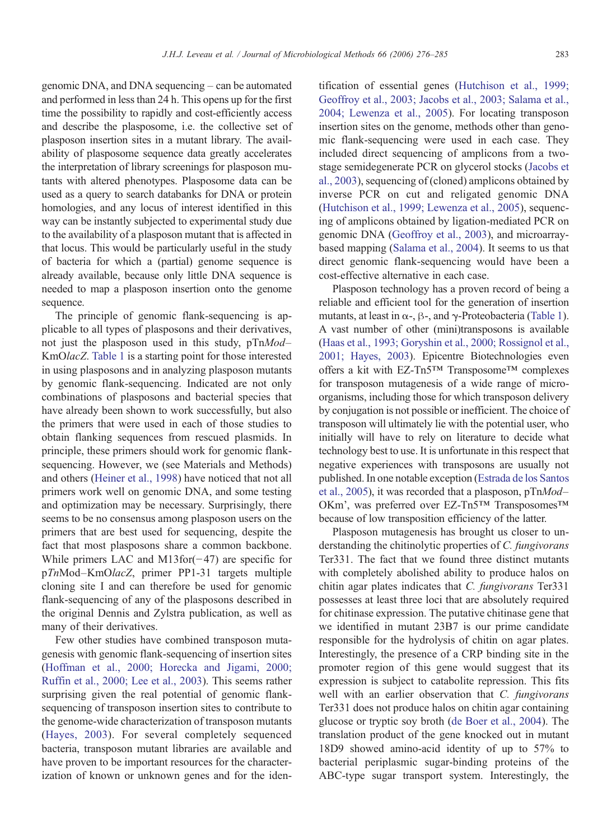genomic DNA, and DNA sequencing – can be automated and performed in less than 24 h. This opens up for the first time the possibility to rapidly and cost-efficiently access and describe the plasposome, i.e. the collective set of plasposon insertion sites in a mutant library. The availability of plasposome sequence data greatly accelerates the interpretation of library screenings for plasposon mutants with altered phenotypes. Plasposome data can be used as a query to search databanks for DNA or protein homologies, and any locus of interest identified in this way can be instantly subjected to experimental study due to the availability of a plasposon mutant that is affected in that locus. This would be particularly useful in the study of bacteria for which a (partial) genome sequence is already available, because only little DNA sequence is needed to map a plasposon insertion onto the genome sequence.

The principle of genomic flank-sequencing is applicable to all types of plasposons and their derivatives, not just the plasposon used in this study, pTnMod– KmOlacZ. [Table 1](#page-3-0) is a starting point for those interested in using plasposons and in analyzing plasposon mutants by genomic flank-sequencing. Indicated are not only combinations of plasposons and bacterial species that have already been shown to work successfully, but also the primers that were used in each of those studies to obtain flanking sequences from rescued plasmids. In principle, these primers should work for genomic flanksequencing. However, we (see Materials and Methods) and others ([Heiner et al., 1998](#page-8-0)) have noticed that not all primers work well on genomic DNA, and some testing and optimization may be necessary. Surprisingly, there seems to be no consensus among plasposon users on the primers that are best used for sequencing, despite the fact that most plasposons share a common backbone. While primers LAC and M13for(−47) are specific for pTnMod–KmOlacZ, primer PP1-31 targets multiple cloning site I and can therefore be used for genomic flank-sequencing of any of the plasposons described in the original Dennis and Zylstra publication, as well as many of their derivatives.

Few other studies have combined transposon mutagenesis with genomic flank-sequencing of insertion sites [\(Hoffman et al., 2000; Horecka and Jigami, 2000;](#page-9-0) [Ruffin et al., 2000; Lee et al., 2003\)](#page-9-0). This seems rather surprising given the real potential of genomic flanksequencing of transposon insertion sites to contribute to the genome-wide characterization of transposon mutants [\(Hayes, 2003](#page-8-0)). For several completely sequenced bacteria, transposon mutant libraries are available and have proven to be important resources for the characterization of known or unknown genes and for the iden-

tification of essential genes [\(Hutchison et al., 1999;](#page-9-0) [Geoffroy et al., 2003; Jacobs et al., 2003; Salama et al.,](#page-9-0) [2004; Lewenza et al., 2005](#page-9-0)). For locating transposon insertion sites on the genome, methods other than genomic flank-sequencing were used in each case. They included direct sequencing of amplicons from a twostage semidegenerate PCR on glycerol stocks [\(Jacobs et](#page-9-0) [al., 2003\)](#page-9-0), sequencing of (cloned) amplicons obtained by inverse PCR on cut and religated genomic DNA [\(Hutchison et al., 1999; Lewenza et al., 2005\)](#page-9-0), sequencing of amplicons obtained by ligation-mediated PCR on genomic DNA ([Geoffroy et al., 2003\)](#page-8-0), and microarraybased mapping ([Salama et al., 2004](#page-9-0)). It seems to us that direct genomic flank-sequencing would have been a cost-effective alternative in each case.

Plasposon technology has a proven record of being a reliable and efficient tool for the generation of insertion mutants, at least in  $\alpha$ -,  $\beta$ -, and  $\gamma$ -Proteobacteria [\(Table 1](#page-3-0)). A vast number of other (mini)transposons is available [\(Haas et al., 1993; Goryshin et al., 2000; Rossignol et al.,](#page-8-0) [2001; Hayes, 2003\)](#page-8-0). Epicentre Biotechnologies even offers a kit with EZ-Tn5™ Transposome™ complexes for transposon mutagenesis of a wide range of microorganisms, including those for which transposon delivery by conjugation is not possible or inefficient. The choice of transposon will ultimately lie with the potential user, who initially will have to rely on literature to decide what technology best to use. It is unfortunate in this respect that negative experiences with transposons are usually not published. In one notable exception [\(Estrada de los Santos](#page-8-0) [et al., 2005](#page-8-0)), it was recorded that a plasposon, pTnMod– OKm', was preferred over EZ-Tn5™ Transposomes™ because of low transposition efficiency of the latter.

Plasposon mutagenesis has brought us closer to understanding the chitinolytic properties of C. fungivorans Ter331. The fact that we found three distinct mutants with completely abolished ability to produce halos on chitin agar plates indicates that C. fungivorans Ter331 possesses at least three loci that are absolutely required for chitinase expression. The putative chitinase gene that we identified in mutant 23B7 is our prime candidate responsible for the hydrolysis of chitin on agar plates. Interestingly, the presence of a CRP binding site in the promoter region of this gene would suggest that its expression is subject to catabolite repression. This fits well with an earlier observation that C. fungivorans Ter331 does not produce halos on chitin agar containing glucose or tryptic soy broth [\(de Boer et al., 2004\)](#page-8-0). The translation product of the gene knocked out in mutant 18D9 showed amino-acid identity of up to 57% to bacterial periplasmic sugar-binding proteins of the ABC-type sugar transport system. Interestingly, the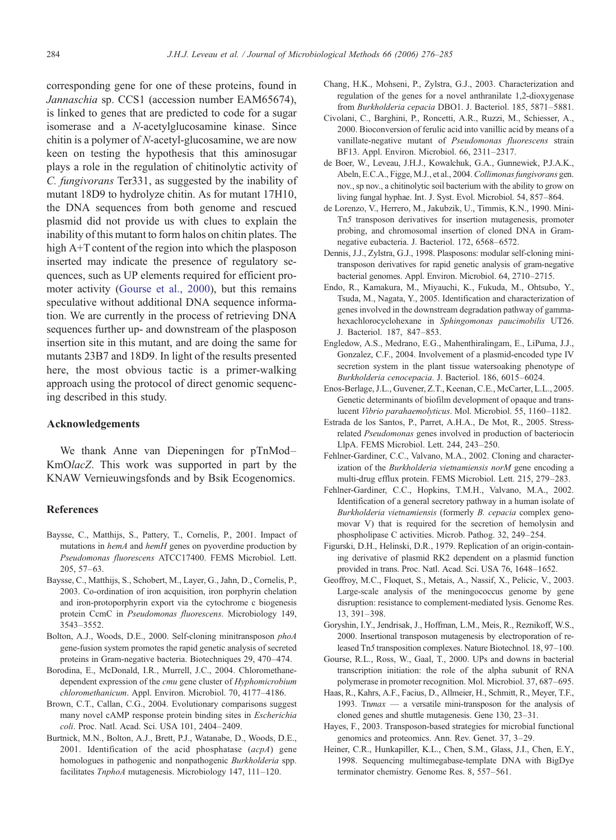<span id="page-8-0"></span>corresponding gene for one of these proteins, found in Jannaschia sp. CCS1 (accession number EAM65674), is linked to genes that are predicted to code for a sugar isomerase and a N-acetylglucosamine kinase. Since chitin is a polymer of N-acetyl-glucosamine, we are now keen on testing the hypothesis that this aminosugar plays a role in the regulation of chitinolytic activity of C. fungivorans Ter331, as suggested by the inability of mutant 18D9 to hydrolyze chitin. As for mutant 17H10, the DNA sequences from both genome and rescued plasmid did not provide us with clues to explain the inability of this mutant to form halos on chitin plates. The high A+T content of the region into which the plasposon inserted may indicate the presence of regulatory sequences, such as UP elements required for efficient promoter activity (Gourse et al., 2000), but this remains speculative without additional DNA sequence information. We are currently in the process of retrieving DNA sequences further up- and downstream of the plasposon insertion site in this mutant, and are doing the same for mutants 23B7 and 18D9. In light of the results presented here, the most obvious tactic is a primer-walking approach using the protocol of direct genomic sequencing described in this study.

## Acknowledgements

We thank Anne van Diepeningen for pTnMod– KmOlacZ. This work was supported in part by the KNAW Vernieuwingsfonds and by Bsik Ecogenomics.

#### References

- Baysse, C., Matthijs, S., Pattery, T., Cornelis, P., 2001. Impact of mutations in *hemA* and *hemH* genes on pyoverdine production by Pseudomonas fluorescens ATCC17400. FEMS Microbiol. Lett. 205, 57–63.
- Baysse, C., Matthijs, S., Schobert, M., Layer, G., Jahn, D., Cornelis, P., 2003. Co-ordination of iron acquisition, iron porphyrin chelation and iron-protoporphyrin export via the cytochrome c biogenesis protein CcmC in Pseudomonas fluorescens. Microbiology 149, 3543–3552.
- Bolton, A.J., Woods, D.E., 2000. Self-cloning minitransposon phoA gene-fusion system promotes the rapid genetic analysis of secreted proteins in Gram-negative bacteria. Biotechniques 29, 470–474.
- Borodina, E., McDonald, I.R., Murrell, J.C., 2004. Chloromethanedependent expression of the cmu gene cluster of Hyphomicrobium chloromethanicum. Appl. Environ. Microbiol. 70, 4177–4186.
- Brown, C.T., Callan, C.G., 2004. Evolutionary comparisons suggest many novel cAMP response protein binding sites in Escherichia coli. Proc. Natl. Acad. Sci. USA 101, 2404–2409.
- Burtnick, M.N., Bolton, A.J., Brett, P.J., Watanabe, D., Woods, D.E., 2001. Identification of the acid phosphatase (acpA) gene homologues in pathogenic and nonpathogenic Burkholderia spp. facilitates TnphoA mutagenesis. Microbiology 147, 111–120.
- Chang, H.K., Mohseni, P., Zylstra, G.J., 2003. Characterization and regulation of the genes for a novel anthranilate 1,2-dioxygenase from Burkholderia cepacia DBO1. J. Bacteriol. 185, 5871–5881.
- Civolani, C., Barghini, P., Roncetti, A.R., Ruzzi, M., Schiesser, A., 2000. Bioconversion of ferulic acid into vanillic acid by means of a vanillate-negative mutant of Pseudomonas fluorescens strain BF13. Appl. Environ. Microbiol. 66, 2311–2317.
- de Boer, W., Leveau, J.H.J., Kowalchuk, G.A., Gunnewiek, P.J.A.K., Abeln, E.C.A., Figge, M.J., et al., 2004. Collimonas fungivorans gen. nov., sp nov., a chitinolytic soil bacterium with the ability to grow on living fungal hyphae. Int. J. Syst. Evol. Microbiol. 54, 857–864.
- de Lorenzo, V., Herrero, M., Jakubzik, U., Timmis, K.N., 1990. Mini-Tn5 transposon derivatives for insertion mutagenesis, promoter probing, and chromosomal insertion of cloned DNA in Gramnegative eubacteria. J. Bacteriol. 172, 6568–6572.
- Dennis, J.J., Zylstra, G.J., 1998. Plasposons: modular self-cloning minitransposon derivatives for rapid genetic analysis of gram-negative bacterial genomes. Appl. Environ. Microbiol. 64, 2710–2715.
- Endo, R., Kamakura, M., Miyauchi, K., Fukuda, M., Ohtsubo, Y., Tsuda, M., Nagata, Y., 2005. Identification and characterization of genes involved in the downstream degradation pathway of gammahexachlorocyclohexane in Sphingomonas paucimobilis UT26. J. Bacteriol. 187, 847–853.
- Engledow, A.S., Medrano, E.G., Mahenthiralingam, E., LiPuma, J.J., Gonzalez, C.F., 2004. Involvement of a plasmid-encoded type IV secretion system in the plant tissue watersoaking phenotype of Burkholderia cenocepacia. J. Bacteriol. 186, 6015–6024.
- Enos-Berlage, J.L., Guvener, Z.T., Keenan, C.E., McCarter, L.L., 2005. Genetic determinants of biofilm development of opaque and translucent Vibrio parahaemolyticus. Mol. Microbiol. 55, 1160–1182.
- Estrada de los Santos, P., Parret, A.H.A., De Mot, R., 2005. Stressrelated Pseudomonas genes involved in production of bacteriocin LlpA. FEMS Microbiol. Lett. 244, 243–250.
- Fehlner-Gardiner, C.C., Valvano, M.A., 2002. Cloning and characterization of the Burkholderia vietnamiensis norM gene encoding a multi-drug efflux protein. FEMS Microbiol. Lett. 215, 279–283.
- Fehlner-Gardiner, C.C., Hopkins, T.M.H., Valvano, M.A., 2002. Identification of a general secretory pathway in a human isolate of Burkholderia vietnamiensis (formerly B. cepacia complex genomovar V) that is required for the secretion of hemolysin and phospholipase C activities. Microb. Pathog. 32, 249–254.
- Figurski, D.H., Helinski, D.R., 1979. Replication of an origin-containing derivative of plasmid RK2 dependent on a plasmid function provided in trans. Proc. Natl. Acad. Sci. USA 76, 1648–1652.
- Geoffroy, M.C., Floquet, S., Metais, A., Nassif, X., Pelicic, V., 2003. Large-scale analysis of the meningococcus genome by gene disruption: resistance to complement-mediated lysis. Genome Res. 13, 391–398.
- Goryshin, I.Y., Jendrisak, J., Hoffman, L.M., Meis, R., Reznikoff, W.S., 2000. Insertional transposon mutagenesis by electroporation of released Tn5 transposition complexes. Nature Biotechnol. 18, 97–100.
- Gourse, R.L., Ross, W., Gaal, T., 2000. UPs and downs in bacterial transcription initiation: the role of the alpha subunit of RNA polymerase in promoter recognition. Mol. Microbiol. 37, 687–695.
- Haas, R., Kahrs, A.F., Facius, D., Allmeier, H., Schmitt, R., Meyer, T.F., 1993. Tnmax — a versatile mini-transposon for the analysis of cloned genes and shuttle mutagenesis. Gene 130, 23–31.
- Hayes, F., 2003. Transposon-based strategies for microbial functional genomics and proteomics. Ann. Rev. Genet. 37, 3–29.
- Heiner, C.R., Hunkapiller, K.L., Chen, S.M., Glass, J.I., Chen, E.Y., 1998. Sequencing multimegabase-template DNA with BigDye terminator chemistry. Genome Res. 8, 557–561.